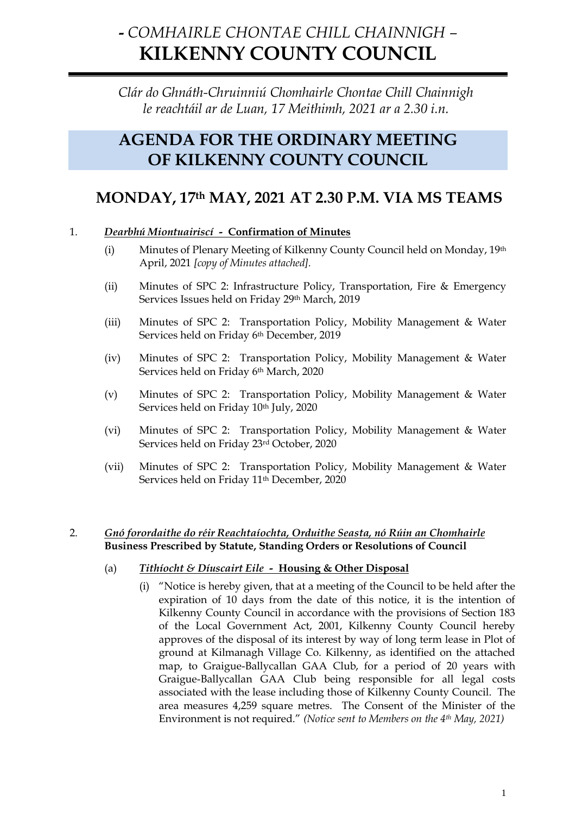# **-** *COMHAIRLE CHONTAE CHILL CHAINNIGH –* **KILKENNY COUNTY COUNCIL**

# *Clár do Ghnáth-Chruinniú Chomhairle Chontae Chill Chainnigh le reachtáil ar de Luan, 17 Meithimh, 2021 ar a 2.30 i.n.*

# **AGENDA FOR THE ORDINARY MEETING OF KILKENNY COUNTY COUNCIL**

# **MONDAY, 17th MAY, 2021 AT 2.30 P.M. VIA MS TEAMS**

# 1. *Dearbhú Miontuairiscí -* **Confirmation of Minutes**

- (i) Minutes of Plenary Meeting of Kilkenny County Council held on Monday, 19th April, 2021 *[copy of Minutes attached].*
- (ii) Minutes of SPC 2: Infrastructure Policy, Transportation, Fire & Emergency Services Issues held on Friday 29th March, 2019
- (iii) Minutes of SPC 2: Transportation Policy, Mobility Management & Water Services held on Friday 6th December, 2019
- (iv) Minutes of SPC 2: Transportation Policy, Mobility Management & Water Services held on Friday 6th March, 2020
- (v) Minutes of SPC 2: Transportation Policy, Mobility Management & Water Services held on Friday 10<sup>th</sup> July, 2020
- (vi) Minutes of SPC 2: Transportation Policy, Mobility Management & Water Services held on Friday 23rd October, 2020
- (vii) Minutes of SPC 2: Transportation Policy, Mobility Management & Water Services held on Friday 11th December, 2020

## 2. *Gnó forordaithe do réir Reachtaíochta, Orduithe Seasta, nó Rúin an Chomhairle* **Business Prescribed by Statute, Standing Orders or Resolutions of Council**

## (a) *Tithíocht & Díuscairt Eile -* **Housing & Other Disposal**

(i) "Notice is hereby given, that at a meeting of the Council to be held after the expiration of 10 days from the date of this notice, it is the intention of Kilkenny County Council in accordance with the provisions of Section 183 of the Local Government Act, 2001, Kilkenny County Council hereby approves of the disposal of its interest by way of long term lease in Plot of ground at Kilmanagh Village Co. Kilkenny, as identified on the attached map, to Graigue-Ballycallan GAA Club, for a period of 20 years with Graigue-Ballycallan GAA Club being responsible for all legal costs associated with the lease including those of Kilkenny County Council. The area measures 4,259 square metres. The Consent of the Minister of the Environment is not required." *(Notice sent to Members on the 4th May, 2021)*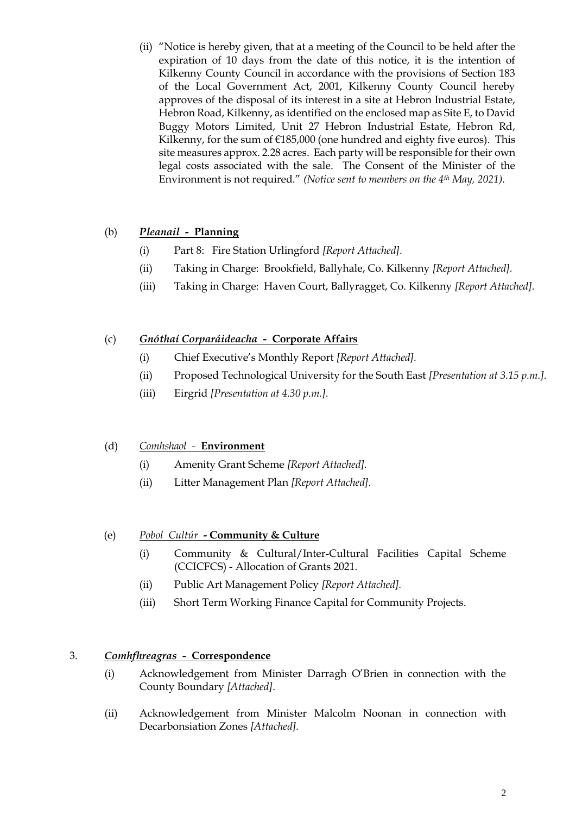(ii) "Notice is hereby given, that at a meeting of the Council to be held after the expiration of 10 days from the date of this notice, it is the intention of Kilkenny County Council in accordance with the provisions of Section 183 of the Local Government Act, 2001, Kilkenny County Council hereby approves of the disposal of its interest in a site at Hebron Industrial Estate, Hebron Road, Kilkenny, as identified on the enclosed map as Site E, to David Buggy Motors Limited, Unit 27 Hebron Industrial Estate, Hebron Rd, Kilkenny, for the sum of  $£185,000$  (one hundred and eighty five euros). This site measures approx. 2.28 acres. Each party will be responsible for their own legal costs associated with the sale. The Consent of the Minister of the Environment is not required." *(Notice sent to members on the 4th May, 2021).*

# (b) *Pleanail -* **Planning**

- (i) Part 8: Fire Station Urlingford *[Report Attached].*
- (ii) Taking in Charge: Brookfield, Ballyhale, Co. Kilkenny *[Report Attached].*
- (iii) Taking in Charge: Haven Court, Ballyragget, Co. Kilkenny *[Report Attached].*

## (c) *Gnóthaí Corparáideacha -* **Corporate Affairs**

- (i) Chief Executive's Monthly Report *[Report Attached].*
- (ii) Proposed Technological University for the South East *[Presentation at 3.15 p.m.].*
- (iii) Eirgrid *[Presentation at 4.30 p.m.].*

## (d) *Comhshaol -* **Environment**

- (i) Amenity Grant Scheme *[Report Attached].*
- (ii) Litter Management Plan *[Report Attached].*

# (e) *Pobol Cultúr* **- Community & Culture**

- (i) Community & Cultural/Inter-Cultural Facilities Capital Scheme (CCICFCS) - Allocation of Grants 2021.
- (ii) Public Art Management Policy *[Report Attached].*
- (iii) Short Term Working Finance Capital for Community Projects.

## 3. *Comhfhreagras -* **Correspondence**

- (i) Acknowledgement from Minister Darragh O'Brien in connection with the County Boundary *[Attached]*.
- (ii) Acknowledgement from Minister Malcolm Noonan in connection with Decarbonsiation Zones *[Attached].*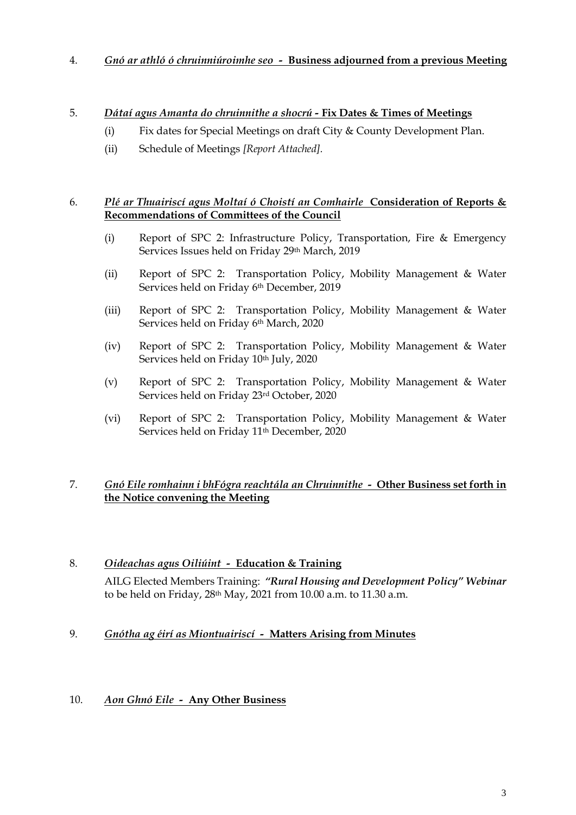#### 4. *Gnó ar athló ó chruinniúroimhe seo -* **Business adjourned from a previous Meeting**

## 5. *Dátaí agus Amanta do chruinnithe a shocrú -* **Fix Dates & Times of Meetings**

- (i) Fix dates for Special Meetings on draft City & County Development Plan.
- (ii) Schedule of Meetings *[Report Attached].*

#### 6. *Plé ar Thuairiscí agus Moltaí ó Choistí an Comhairle* **Consideration of Reports & Recommendations of Committees of the Council**

- (i) Report of SPC 2: Infrastructure Policy, Transportation, Fire & Emergency Services Issues held on Friday 29th March, 2019
- (ii) Report of SPC 2: Transportation Policy, Mobility Management & Water Services held on Friday 6th December, 2019
- (iii) Report of SPC 2: Transportation Policy, Mobility Management & Water Services held on Friday 6th March, 2020
- (iv) Report of SPC 2: Transportation Policy, Mobility Management & Water Services held on Friday 10th July, 2020
- (v) Report of SPC 2: Transportation Policy, Mobility Management & Water Services held on Friday 23rd October, 2020
- (vi) Report of SPC 2: Transportation Policy, Mobility Management & Water Services held on Friday 11<sup>th</sup> December, 2020

## 7. *Gnó Eile romhainn i bhFógra reachtála an Chruinnithe -* **Other Business set forth in the Notice convening the Meeting**

# 8. *Oideachas agus Oiliúint -* **Education & Training**

AILG Elected Members Training: *"Rural Housing and Development Policy" Webinar*  to be held on Friday, 28th May, 2021 from 10.00 a.m. to 11.30 a.m.

## 9. *Gnótha ag éirí as Miontuairiscí -* **Matters Arising from Minutes**

## 10. *Aon Ghnó Eile -* **Any Other Business**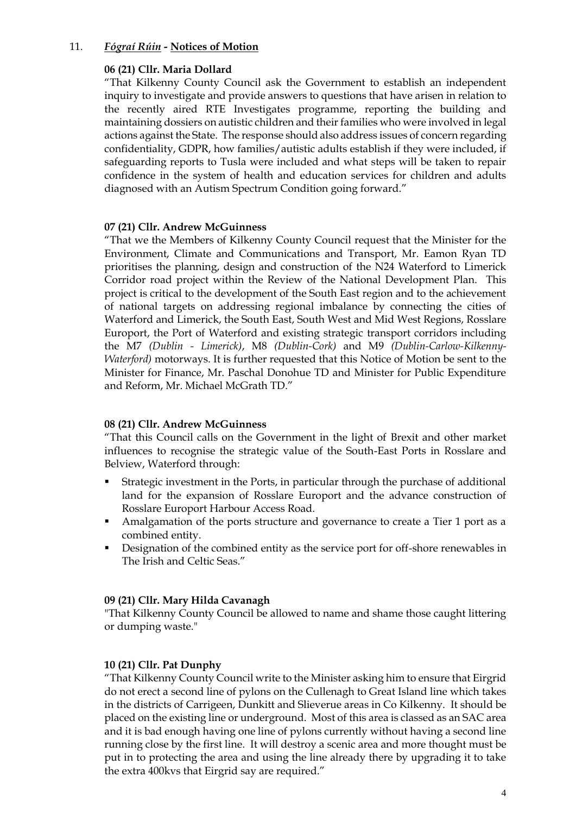#### 11. *Fógraí Rúin -* **Notices of Motion**

#### **06 (21) Cllr. Maria Dollard**

"That Kilkenny County Council ask the Government to establish an independent inquiry to investigate and provide answers to questions that have arisen in relation to the recently aired RTE Investigates programme, reporting the building and maintaining dossiers on autistic children and their families who were involved in legal actions against the State. The response should also address issues of concern regarding confidentiality, GDPR, how families/autistic adults establish if they were included, if safeguarding reports to Tusla were included and what steps will be taken to repair confidence in the system of health and education services for children and adults diagnosed with an Autism Spectrum Condition going forward."

#### **07 (21) Cllr. Andrew McGuinness**

"That we the Members of Kilkenny County Council request that the Minister for the Environment, Climate and Communications and Transport, Mr. Eamon Ryan TD prioritises the planning, design and construction of the N24 Waterford to Limerick Corridor road project within the Review of the National Development Plan. This project is critical to the development of the South East region and to the achievement of national targets on addressing regional imbalance by connecting the cities of Waterford and Limerick, the South East, South West and Mid West Regions, Rosslare Europort, the Port of Waterford and existing strategic transport corridors including the M7 *(Dublin - Limerick)*, M8 *(Dublin-Cork)* and M9 *(Dublin-Carlow-Kilkenny-Waterford)* motorways. It is further requested that this Notice of Motion be sent to the Minister for Finance, Mr. Paschal Donohue TD and Minister for Public Expenditure and Reform, Mr. Michael McGrath TD."

#### **08 (21) Cllr. Andrew McGuinness**

"That this Council calls on the Government in the light of Brexit and other market influences to recognise the strategic value of the South-East Ports in Rosslare and Belview, Waterford through:

- Strategic investment in the Ports, in particular through the purchase of additional land for the expansion of Rosslare Europort and the advance construction of Rosslare Europort Harbour Access Road.
- Amalgamation of the ports structure and governance to create a Tier 1 port as a combined entity.
- Designation of the combined entity as the service port for off-shore renewables in The Irish and Celtic Seas."

#### **09 (21) Cllr. Mary Hilda Cavanagh**

"That Kilkenny County Council be allowed to name and shame those caught littering or dumping waste."

#### **10 (21) Cllr. Pat Dunphy**

"That Kilkenny County Council write to the Minister asking him to ensure that Eirgrid do not erect a second line of pylons on the Cullenagh to Great Island line which takes in the districts of Carrigeen, Dunkitt and Slieverue areas in Co Kilkenny. It should be placed on the existing line or underground. Most of this area is classed as an SAC area and it is bad enough having one line of pylons currently without having a second line running close by the first line. It will destroy a scenic area and more thought must be put in to protecting the area and using the line already there by upgrading it to take the extra 400kvs that Eirgrid say are required."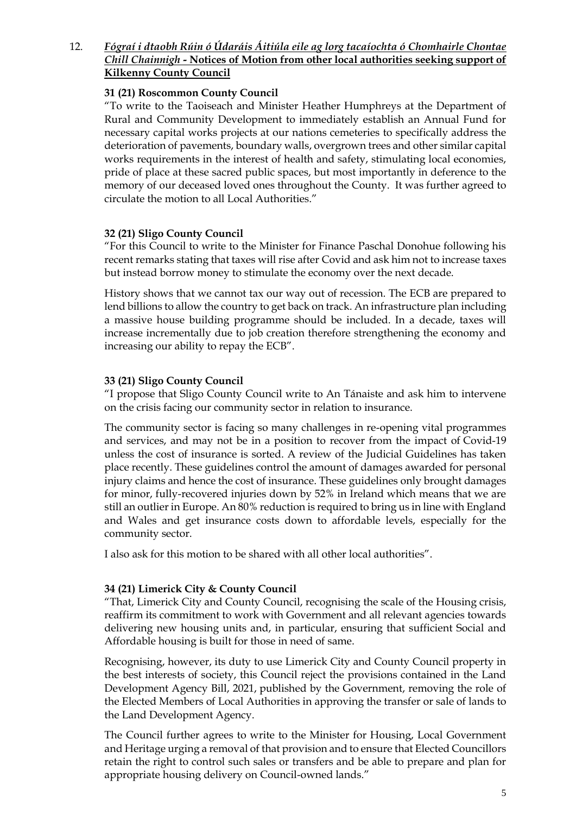## 12. *Fógraí i dtaobh Rúin ó Údaráis Áitiúla eile ag lorg tacaíochta ó Chomhairle Chontae Chill Chainnigh -* **Notices of Motion from other local authorities seeking support of Kilkenny County Council**

#### **31 (21) Roscommon County Council**

"To write to the Taoiseach and Minister Heather Humphreys at the Department of Rural and Community Development to immediately establish an Annual Fund for necessary capital works projects at our nations cemeteries to specifically address the deterioration of pavements, boundary walls, overgrown trees and other similar capital works requirements in the interest of health and safety, stimulating local economies, pride of place at these sacred public spaces, but most importantly in deference to the memory of our deceased loved ones throughout the County. It was further agreed to circulate the motion to all Local Authorities."

#### **32 (21) Sligo County Council**

"For this Council to write to the Minister for Finance Paschal Donohue following his recent remarks stating that taxes will rise after Covid and ask him not to increase taxes but instead borrow money to stimulate the economy over the next decade.

History shows that we cannot tax our way out of recession. The ECB are prepared to lend billions to allow the country to get back on track. An infrastructure plan including a massive house building programme should be included. In a decade, taxes will increase incrementally due to job creation therefore strengthening the economy and increasing our ability to repay the ECB".

#### **33 (21) Sligo County Council**

"I propose that Sligo County Council write to An Tánaiste and ask him to intervene on the crisis facing our community sector in relation to insurance.

The community sector is facing so many challenges in re-opening vital programmes and services, and may not be in a position to recover from the impact of Covid-19 unless the cost of insurance is sorted. A review of the Judicial Guidelines has taken place recently. These guidelines control the amount of damages awarded for personal injury claims and hence the cost of insurance. These guidelines only brought damages for minor, fully-recovered injuries down by 52% in Ireland which means that we are still an outlier in Europe. An 80% reduction is required to bring us in line with England and Wales and get insurance costs down to affordable levels, especially for the community sector.

I also ask for this motion to be shared with all other local authorities".

#### **34 (21) Limerick City & County Council**

"That, Limerick City and County Council, recognising the scale of the Housing crisis, reaffirm its commitment to work with Government and all relevant agencies towards delivering new housing units and, in particular, ensuring that sufficient Social and Affordable housing is built for those in need of same.

Recognising, however, its duty to use Limerick City and County Council property in the best interests of society, this Council reject the provisions contained in the Land Development Agency Bill, 2021, published by the Government, removing the role of the Elected Members of Local Authorities in approving the transfer or sale of lands to the Land Development Agency.

The Council further agrees to write to the Minister for Housing, Local Government and Heritage urging a removal of that provision and to ensure that Elected Councillors retain the right to control such sales or transfers and be able to prepare and plan for appropriate housing delivery on Council-owned lands."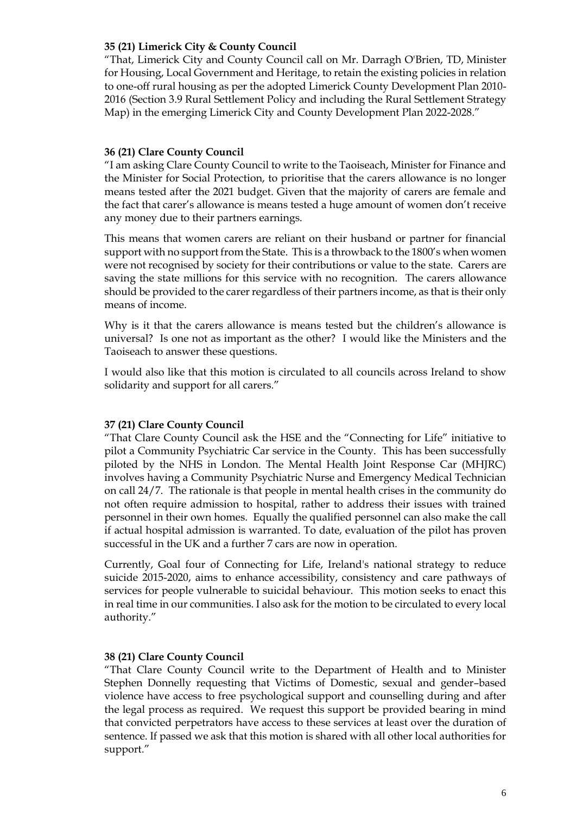#### **35 (21) Limerick City & County Council**

"That, Limerick City and County Council call on Mr. Darragh O'Brien, TD, Minister for Housing, Local Government and Heritage, to retain the existing policies in relation to one-off rural housing as per the adopted Limerick County Development Plan 2010- 2016 (Section 3.9 Rural Settlement Policy and including the Rural Settlement Strategy Map) in the emerging Limerick City and County Development Plan 2022-2028."

#### **36 (21) Clare County Council**

"I am asking Clare County Council to write to the Taoiseach, Minister for Finance and the Minister for Social Protection, to prioritise that the carers allowance is no longer means tested after the 2021 budget. Given that the majority of carers are female and the fact that carer's allowance is means tested a huge amount of women don't receive any money due to their partners earnings.

This means that women carers are reliant on their husband or partner for financial support with no support from the State. This is a throwback to the 1800's when women were not recognised by society for their contributions or value to the state. Carers are saving the state millions for this service with no recognition. The carers allowance should be provided to the carer regardless of their partners income, as that is their only means of income.

Why is it that the carers allowance is means tested but the children's allowance is universal? Is one not as important as the other? I would like the Ministers and the Taoiseach to answer these questions.

I would also like that this motion is circulated to all councils across Ireland to show solidarity and support for all carers."

#### **37 (21) Clare County Council**

"That Clare County Council ask the HSE and the "Connecting for Life" initiative to pilot a Community Psychiatric Car service in the County. This has been successfully piloted by the NHS in London. The Mental Health Joint Response Car (MHJRC) involves having a Community Psychiatric Nurse and Emergency Medical Technician on call 24/7. The rationale is that people in mental health crises in the community do not often require admission to hospital, rather to address their issues with trained personnel in their own homes. Equally the qualified personnel can also make the call if actual hospital admission is warranted. To date, evaluation of the pilot has proven successful in the UK and a further 7 cars are now in operation.

Currently, Goal four of Connecting for Life, Ireland's national strategy to reduce suicide 2015-2020, aims to enhance accessibility, consistency and care pathways of services for people vulnerable to suicidal behaviour. This motion seeks to enact this in real time in our communities. I also ask for the motion to be circulated to every local authority."

#### **38 (21) Clare County Council**

"That Clare County Council write to the Department of Health and to Minister Stephen Donnelly requesting that Victims of Domestic, sexual and gender–based violence have access to free psychological support and counselling during and after the legal process as required. We request this support be provided bearing in mind that convicted perpetrators have access to these services at least over the duration of sentence. If passed we ask that this motion is shared with all other local authorities for support."